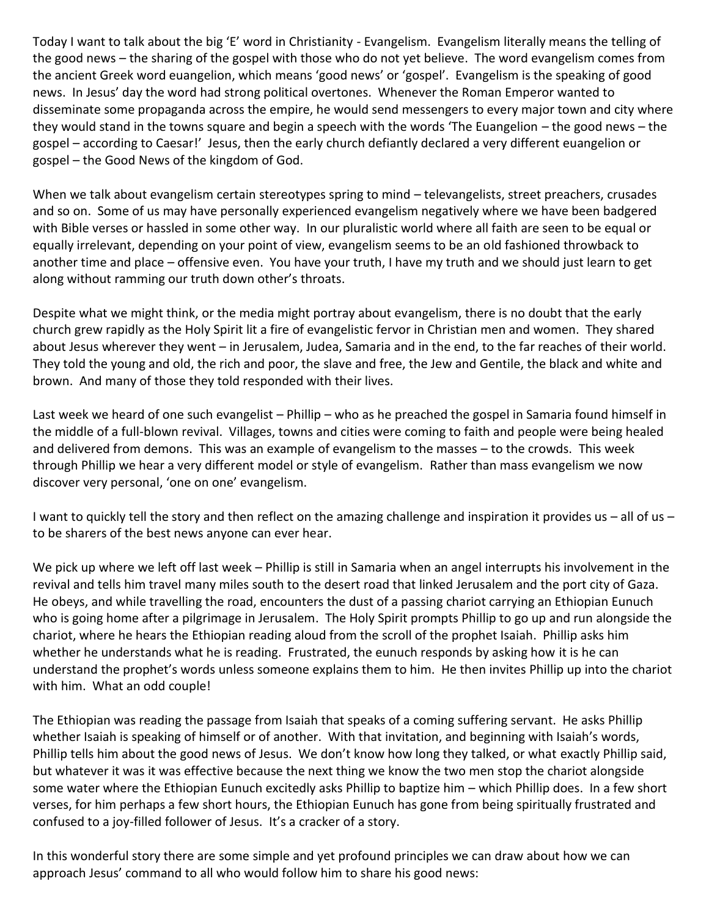Today I want to talk about the big 'E' word in Christianity - Evangelism. Evangelism literally means the telling of the good news – the sharing of the gospel with those who do not yet believe. The word evangelism comes from the ancient Greek word euangelion, which means 'good news' or 'gospel'. Evangelism is the speaking of good news. In Jesus' day the word had strong political overtones. Whenever the Roman Emperor wanted to disseminate some propaganda across the empire, he would send messengers to every major town and city where they would stand in the towns square and begin a speech with the words 'The Euangelion – the good news – the gospel – according to Caesar!' Jesus, then the early church defiantly declared a very different euangelion or gospel – the Good News of the kingdom of God.

When we talk about evangelism certain stereotypes spring to mind – televangelists, street preachers, crusades and so on. Some of us may have personally experienced evangelism negatively where we have been badgered with Bible verses or hassled in some other way. In our pluralistic world where all faith are seen to be equal or equally irrelevant, depending on your point of view, evangelism seems to be an old fashioned throwback to another time and place – offensive even. You have your truth, I have my truth and we should just learn to get along without ramming our truth down other's throats.

Despite what we might think, or the media might portray about evangelism, there is no doubt that the early church grew rapidly as the Holy Spirit lit a fire of evangelistic fervor in Christian men and women. They shared about Jesus wherever they went – in Jerusalem, Judea, Samaria and in the end, to the far reaches of their world. They told the young and old, the rich and poor, the slave and free, the Jew and Gentile, the black and white and brown. And many of those they told responded with their lives.

Last week we heard of one such evangelist – Phillip – who as he preached the gospel in Samaria found himself in the middle of a full-blown revival. Villages, towns and cities were coming to faith and people were being healed and delivered from demons. This was an example of evangelism to the masses – to the crowds. This week through Phillip we hear a very different model or style of evangelism. Rather than mass evangelism we now discover very personal, 'one on one' evangelism.

I want to quickly tell the story and then reflect on the amazing challenge and inspiration it provides us – all of us – to be sharers of the best news anyone can ever hear.

We pick up where we left off last week – Phillip is still in Samaria when an angel interrupts his involvement in the revival and tells him travel many miles south to the desert road that linked Jerusalem and the port city of Gaza. He obeys, and while travelling the road, encounters the dust of a passing chariot carrying an Ethiopian Eunuch who is going home after a pilgrimage in Jerusalem. The Holy Spirit prompts Phillip to go up and run alongside the chariot, where he hears the Ethiopian reading aloud from the scroll of the prophet Isaiah. Phillip asks him whether he understands what he is reading. Frustrated, the eunuch responds by asking how it is he can understand the prophet's words unless someone explains them to him. He then invites Phillip up into the chariot with him. What an odd couple!

The Ethiopian was reading the passage from Isaiah that speaks of a coming suffering servant. He asks Phillip whether Isaiah is speaking of himself or of another. With that invitation, and beginning with Isaiah's words, Phillip tells him about the good news of Jesus. We don't know how long they talked, or what exactly Phillip said, but whatever it was it was effective because the next thing we know the two men stop the chariot alongside some water where the Ethiopian Eunuch excitedly asks Phillip to baptize him – which Phillip does. In a few short verses, for him perhaps a few short hours, the Ethiopian Eunuch has gone from being spiritually frustrated and confused to a joy-filled follower of Jesus. It's a cracker of a story.

In this wonderful story there are some simple and yet profound principles we can draw about how we can approach Jesus' command to all who would follow him to share his good news: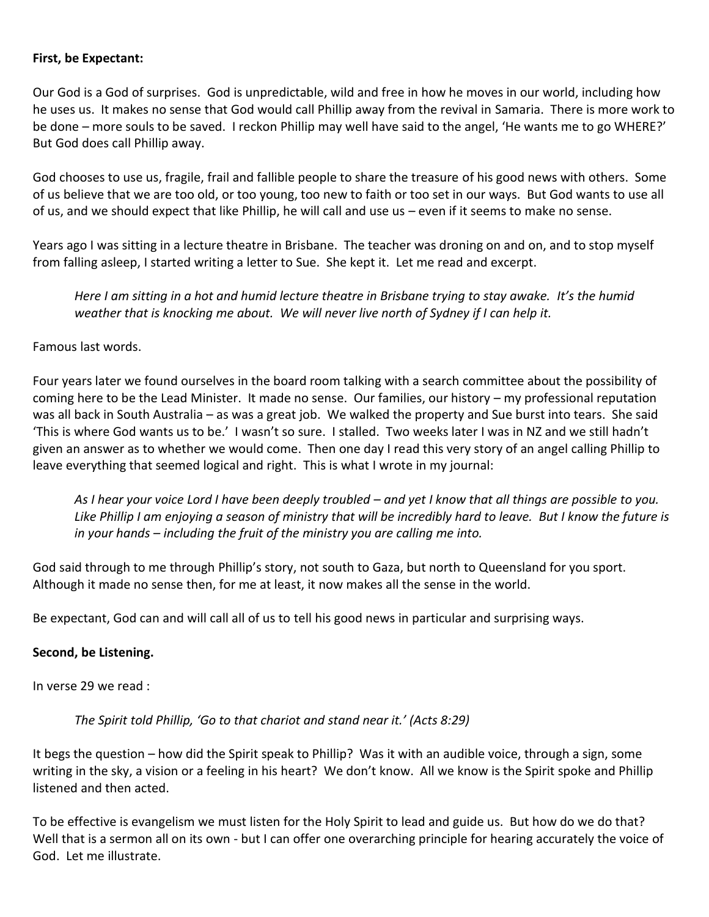#### **First, be Expectant:**

Our God is a God of surprises. God is unpredictable, wild and free in how he moves in our world, including how he uses us. It makes no sense that God would call Phillip away from the revival in Samaria. There is more work to be done – more souls to be saved. I reckon Phillip may well have said to the angel, 'He wants me to go WHERE?' But God does call Phillip away.

God chooses to use us, fragile, frail and fallible people to share the treasure of his good news with others. Some of us believe that we are too old, or too young, too new to faith or too set in our ways. But God wants to use all of us, and we should expect that like Phillip, he will call and use us – even if it seems to make no sense.

Years ago I was sitting in a lecture theatre in Brisbane. The teacher was droning on and on, and to stop myself from falling asleep, I started writing a letter to Sue. She kept it. Let me read and excerpt.

*Here I am sitting in a hot and humid lecture theatre in Brisbane trying to stay awake. It's the humid weather that is knocking me about. We will never live north of Sydney if I can help it.*

Famous last words.

Four years later we found ourselves in the board room talking with a search committee about the possibility of coming here to be the Lead Minister. It made no sense. Our families, our history – my professional reputation was all back in South Australia – as was a great job. We walked the property and Sue burst into tears. She said 'This is where God wants us to be.' I wasn't so sure. I stalled. Two weeks later I was in NZ and we still hadn't given an answer as to whether we would come. Then one day I read this very story of an angel calling Phillip to leave everything that seemed logical and right. This is what I wrote in my journal:

As I hear your voice Lord I have been deeply troubled – and yet I know that all things are possible to you. *Like Phillip I am enjoying a season of ministry that will be incredibly hard to leave. But I know the future is in your hands – including the fruit of the ministry you are calling me into.*

God said through to me through Phillip's story, not south to Gaza, but north to Queensland for you sport. Although it made no sense then, for me at least, it now makes all the sense in the world.

Be expectant, God can and will call all of us to tell his good news in particular and surprising ways.

#### **Second, be Listening.**

In verse 29 we read :

*The Spirit told Phillip, 'Go to that chariot and stand near it.' (Acts 8:29)*

It begs the question – how did the Spirit speak to Phillip? Was it with an audible voice, through a sign, some writing in the sky, a vision or a feeling in his heart? We don't know. All we know is the Spirit spoke and Phillip listened and then acted.

To be effective is evangelism we must listen for the Holy Spirit to lead and guide us. But how do we do that? Well that is a sermon all on its own - but I can offer one overarching principle for hearing accurately the voice of God. Let me illustrate.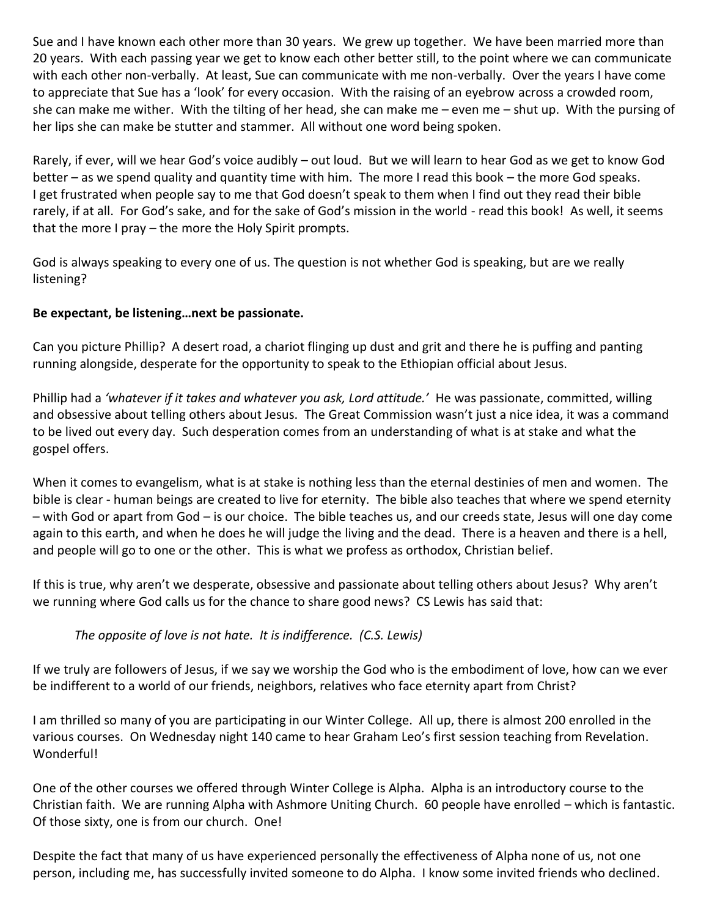Sue and I have known each other more than 30 years. We grew up together. We have been married more than 20 years. With each passing year we get to know each other better still, to the point where we can communicate with each other non-verbally. At least, Sue can communicate with me non-verbally. Over the years I have come to appreciate that Sue has a 'look' for every occasion. With the raising of an eyebrow across a crowded room, she can make me wither. With the tilting of her head, she can make me – even me – shut up. With the pursing of her lips she can make be stutter and stammer. All without one word being spoken.

Rarely, if ever, will we hear God's voice audibly – out loud. But we will learn to hear God as we get to know God better – as we spend quality and quantity time with him. The more I read this book – the more God speaks. I get frustrated when people say to me that God doesn't speak to them when I find out they read their bible rarely, if at all. For God's sake, and for the sake of God's mission in the world - read this book! As well, it seems that the more I pray – the more the Holy Spirit prompts.

God is always speaking to every one of us. The question is not whether God is speaking, but are we really listening?

# **Be expectant, be listening…next be passionate.**

Can you picture Phillip? A desert road, a chariot flinging up dust and grit and there he is puffing and panting running alongside, desperate for the opportunity to speak to the Ethiopian official about Jesus.

Phillip had a *'whatever if it takes and whatever you ask, Lord attitude.'* He was passionate, committed, willing and obsessive about telling others about Jesus. The Great Commission wasn't just a nice idea, it was a command to be lived out every day. Such desperation comes from an understanding of what is at stake and what the gospel offers.

When it comes to evangelism, what is at stake is nothing less than the eternal destinies of men and women. The bible is clear - human beings are created to live for eternity. The bible also teaches that where we spend eternity – with God or apart from God – is our choice. The bible teaches us, and our creeds state, Jesus will one day come again to this earth, and when he does he will judge the living and the dead. There is a heaven and there is a hell, and people will go to one or the other. This is what we profess as orthodox, Christian belief.

If this is true, why aren't we desperate, obsessive and passionate about telling others about Jesus? Why aren't we running where God calls us for the chance to share good news? CS Lewis has said that:

*The opposite of love is not hate. It is indifference. (C.S. Lewis)*

If we truly are followers of Jesus, if we say we worship the God who is the embodiment of love, how can we ever be indifferent to a world of our friends, neighbors, relatives who face eternity apart from Christ?

I am thrilled so many of you are participating in our Winter College. All up, there is almost 200 enrolled in the various courses. On Wednesday night 140 came to hear Graham Leo's first session teaching from Revelation. **Wonderfull** 

One of the other courses we offered through Winter College is Alpha. Alpha is an introductory course to the Christian faith. We are running Alpha with Ashmore Uniting Church. 60 people have enrolled – which is fantastic. Of those sixty, one is from our church. One!

Despite the fact that many of us have experienced personally the effectiveness of Alpha none of us, not one person, including me, has successfully invited someone to do Alpha. I know some invited friends who declined.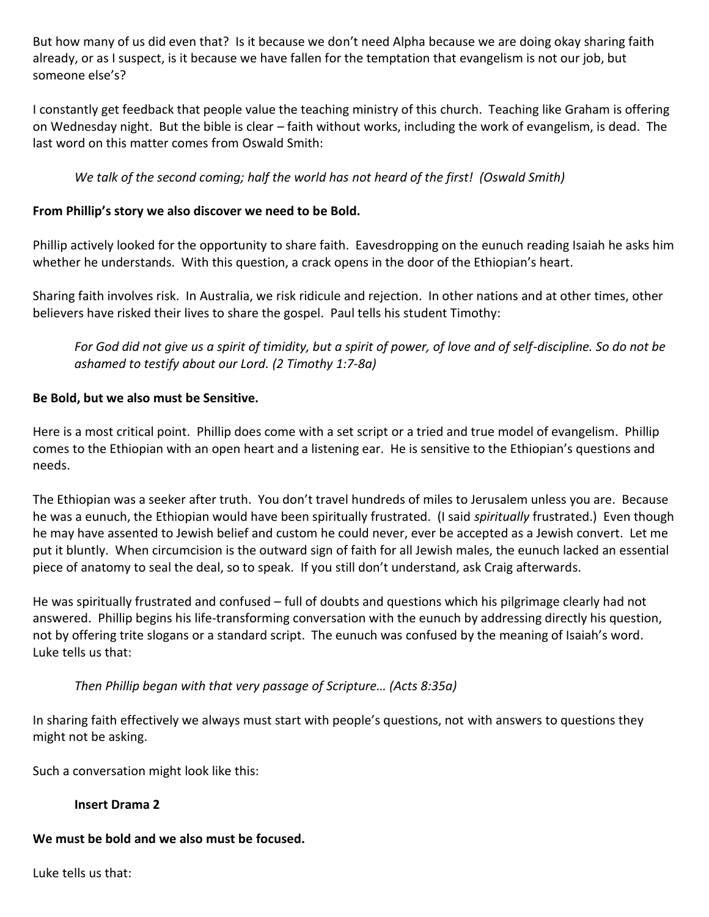But how many of us did even that? Is it because we don't need Alpha because we are doing okay sharing faith already, or as I suspect, is it because we have fallen for the temptation that evangelism is not our job, but someone else's?

I constantly get feedback that people value the teaching ministry of this church. Teaching like Graham is offering on Wednesday night. But the bible is clear – faith without works, including the work of evangelism, is dead. The last word on this matter comes from Oswald Smith:

# *We talk of the second coming; half the world has not heard of the first! (Oswald Smith)*

# **From Phillip's story we also discover we need to be Bold.**

Phillip actively looked for the opportunity to share faith. Eavesdropping on the eunuch reading Isaiah he asks him whether he understands. With this question, a crack opens in the door of the Ethiopian's heart.

Sharing faith involves risk. In Australia, we risk ridicule and rejection. In other nations and at other times, other believers have risked their lives to share the gospel. Paul tells his student Timothy:

*For God did not give us a spirit of timidity, but a spirit of power, of love and of self-discipline. So do not be ashamed to testify about our Lord. (2 Timothy 1:7-8a)*

#### **Be Bold, but we also must be Sensitive.**

Here is a most critical point. Phillip does come with a set script or a tried and true model of evangelism. Phillip comes to the Ethiopian with an open heart and a listening ear. He is sensitive to the Ethiopian's questions and needs.

The Ethiopian was a seeker after truth. You don't travel hundreds of miles to Jerusalem unless you are. Because he was a eunuch, the Ethiopian would have been spiritually frustrated. (I said *spiritually* frustrated.) Even though he may have assented to Jewish belief and custom he could never, ever be accepted as a Jewish convert. Let me put it bluntly. When circumcision is the outward sign of faith for all Jewish males, the eunuch lacked an essential piece of anatomy to seal the deal, so to speak. If you still don't understand, ask Craig afterwards.

He was spiritually frustrated and confused – full of doubts and questions which his pilgrimage clearly had not answered. Phillip begins his life-transforming conversation with the eunuch by addressing directly his question, not by offering trite slogans or a standard script. The eunuch was confused by the meaning of Isaiah's word. Luke tells us that:

# *Then Phillip began with that very passage of Scripture… (Acts 8:35a)*

In sharing faith effectively we always must start with people's questions, not with answers to questions they might not be asking.

Such a conversation might look like this:

# **Insert Drama 2**

# **We must be bold and we also must be focused.**

Luke tells us that: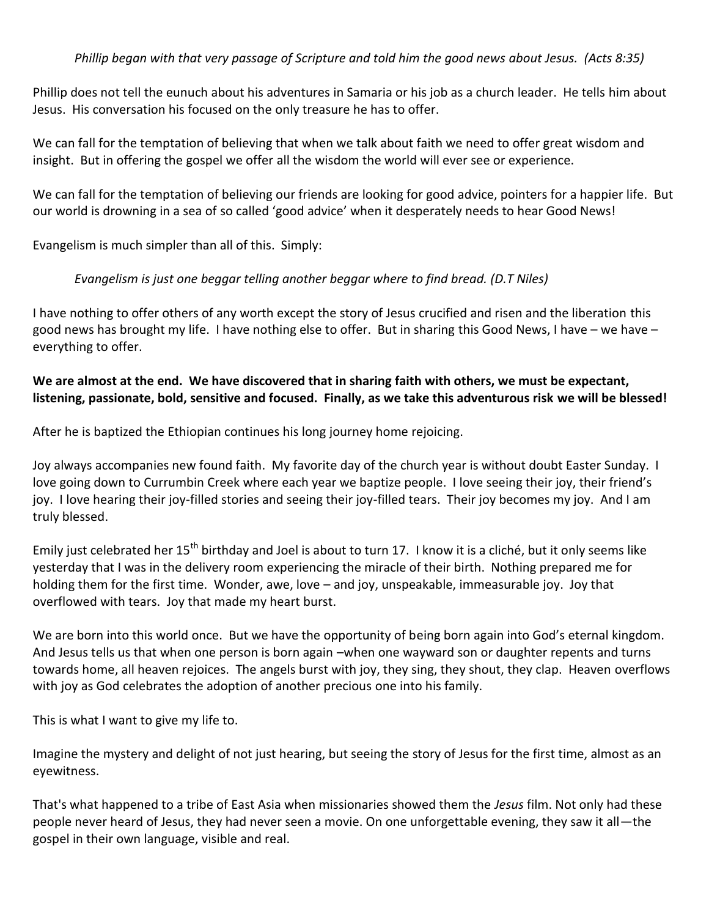# *Phillip began with that very passage of Scripture and told him the good news about Jesus. (Acts 8:35)*

Phillip does not tell the eunuch about his adventures in Samaria or his job as a church leader. He tells him about Jesus. His conversation his focused on the only treasure he has to offer.

We can fall for the temptation of believing that when we talk about faith we need to offer great wisdom and insight. But in offering the gospel we offer all the wisdom the world will ever see or experience.

We can fall for the temptation of believing our friends are looking for good advice, pointers for a happier life. But our world is drowning in a sea of so called 'good advice' when it desperately needs to hear Good News!

Evangelism is much simpler than all of this. Simply:

#### *Evangelism is just one beggar telling another beggar where to find bread. (D.T Niles)*

I have nothing to offer others of any worth except the story of Jesus crucified and risen and the liberation this good news has brought my life. I have nothing else to offer. But in sharing this Good News, I have – we have – everything to offer.

#### **We are almost at the end. We have discovered that in sharing faith with others, we must be expectant, listening, passionate, bold, sensitive and focused. Finally, as we take this adventurous risk we will be blessed!**

After he is baptized the Ethiopian continues his long journey home rejoicing.

Joy always accompanies new found faith. My favorite day of the church year is without doubt Easter Sunday. I love going down to Currumbin Creek where each year we baptize people. I love seeing their joy, their friend's joy. I love hearing their joy-filled stories and seeing their joy-filled tears. Their joy becomes my joy. And I am truly blessed.

Emily just celebrated her 15<sup>th</sup> birthday and Joel is about to turn 17. I know it is a cliché, but it only seems like yesterday that I was in the delivery room experiencing the miracle of their birth. Nothing prepared me for holding them for the first time. Wonder, awe, love – and joy, unspeakable, immeasurable joy. Joy that overflowed with tears. Joy that made my heart burst.

We are born into this world once. But we have the opportunity of being born again into God's eternal kingdom. And Jesus tells us that when one person is born again –when one wayward son or daughter repents and turns towards home, all heaven rejoices. The angels burst with joy, they sing, they shout, they clap. Heaven overflows with joy as God celebrates the adoption of another precious one into his family.

This is what I want to give my life to.

Imagine the mystery and delight of not just hearing, but seeing the story of Jesus for the first time, almost as an eyewitness.

That's what happened to a tribe of East Asia when missionaries showed them the *Jesus* film. Not only had these people never heard of Jesus, they had never seen a movie. On one unforgettable evening, they saw it all—the gospel in their own language, visible and real.